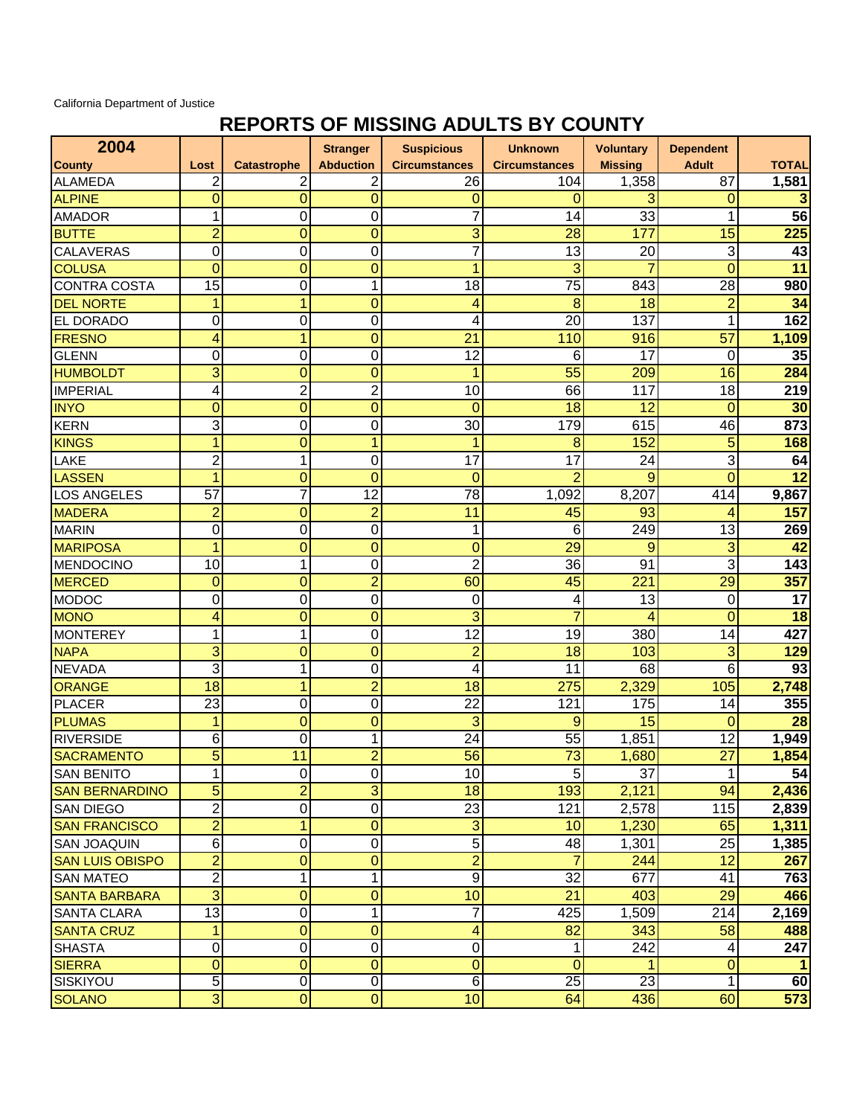California Department of Justice

## **REPORTS OF MISSING ADULTS BY COUNTY**

| 2004                   |                 |                    | <b>Stranger</b>  | <b>Suspicious</b>    | <b>Unknown</b>       | <b>Voluntary</b> | <b>Dependent</b> |                 |
|------------------------|-----------------|--------------------|------------------|----------------------|----------------------|------------------|------------------|-----------------|
| <b>County</b>          | Lost            | <b>Catastrophe</b> | <b>Abduction</b> | <b>Circumstances</b> | <b>Circumstances</b> | <b>Missing</b>   | <b>Adult</b>     | <b>TOTAL</b>    |
| <b>ALAMEDA</b>         | $\overline{2}$  | 2                  | 2                | 26                   | 104                  | 1,358            | 87               | 1,581           |
| <b>ALPINE</b>          | $\mathbf 0$     | $\mathbf 0$        | $\overline{0}$   | 0                    | 0                    | 3                | 0                |                 |
| <b>AMADOR</b>          | $\mathbf{1}$    | 0                  | 0                | 7                    | 14                   | 33               | 1                | $\overline{56}$ |
| <b>BUTTE</b>           | $\overline{2}$  | $\overline{0}$     | $\mathbf 0$      | 3                    | 28                   | 177              | 15               | 225             |
| <b>CALAVERAS</b>       | 0               | $\mathbf 0$        | 0                | 7                    | $\overline{13}$      | 20               | 3                | 43              |
| <b>COLUSA</b>          | $\mathbf 0$     | $\overline{0}$     | $\mathbf 0$      | 1                    | 3                    |                  | $\mathbf 0$      | 11              |
| <b>CONTRA COSTA</b>    | 15              | $\mathbf 0$        | 1                | 18                   | $\overline{75}$      | 843              | $\overline{28}$  | 980             |
| <b>DEL NORTE</b>       | $\overline{1}$  | 1                  | $\mathbf 0$      | 4                    | $\overline{8}$       | 18               | $\overline{2}$   | 34              |
| <b>EL DORADO</b>       | 0               | $\mathbf 0$        | 0                | 4                    | $\overline{20}$      | 137              | 1                | 162             |
| <b>FRESNO</b>          | 4               | 1                  | $\mathbf 0$      | 21                   | 110                  | 916              | 57               | 1,109           |
| <b>GLENN</b>           | 0               | 0                  | $\mathbf 0$      | 12                   | 6                    | 17               | 0                | 35              |
| <b>HUMBOLDT</b>        | $\overline{3}$  | 0                  | $\mathbf 0$      | 1                    | 55                   | 209              | 16               | 284             |
| <b>IMPERIAL</b>        | $\overline{4}$  | $\overline{2}$     | $\overline{2}$   | 10                   | 66                   | 117              | 18               | 219             |
| <b>INYO</b>            | $\mathbf 0$     | $\mathbf 0$        | $\mathbf 0$      | $\mathbf 0$          | 18                   | 12               | $\overline{0}$   | 30              |
| <b>KERN</b>            | 3               | $\mathbf 0$        | $\mathbf 0$      | 30                   | 179                  | 615              | 46               | 873             |
| <b>KINGS</b>           | 1               | 0                  | 1                | 1                    | 8                    | 152              | 5                | 168             |
| LAKE                   | $\overline{c}$  | 1                  | 0                | 17                   | $\overline{17}$      | 24               | 3                | 64              |
| <b>LASSEN</b>          | $\overline{1}$  | $\mathbf 0$        | $\overline{0}$   | $\mathbf 0$          | $\overline{2}$       | 9                | $\Omega$         | $\overline{12}$ |
| <b>LOS ANGELES</b>     | 57              | 7                  | 12               | $\overline{78}$      | 1,092                | 8,207            | 414              | 9,867           |
| <b>MADERA</b>          | $\overline{c}$  | $\mathbf{0}$       | $\overline{c}$   | 11                   | 45                   | 93               | 4                | 157             |
| <b>MARIN</b>           | 0               | $\mathbf 0$        | $\boldsymbol{0}$ | 1                    | 6                    | 249              | 13               | 269             |
| <b>MARIPOSA</b>        | $\mathbf{1}$    | $\mathbf 0$        | $\mathbf 0$      | $\mathbf 0$          | 29                   | 9                | 3                | 42              |
| <b>MENDOCINO</b>       | 10              | 1                  | $\mathbf 0$      | $\overline{2}$       | 36                   | 91               | 3                | 143             |
| <b>MERCED</b>          | $\mathbf 0$     | $\overline{0}$     | $\overline{2}$   | 60                   | 45                   | 221              | 29               | 357             |
| <b>MODOC</b>           | 0               | $\mathbf 0$        | $\mathbf 0$      | 0                    | 4                    | 13               | 0                | $\overline{17}$ |
| <b>MONO</b>            | 4               | $\mathbf 0$        | $\mathbf 0$      | 3                    | $\overline{7}$       | 4                | 0                | 18              |
| <b>MONTEREY</b>        | 1               | 1                  | $\mathbf 0$      | $\overline{12}$      | 19                   | 380              | 14               | 427             |
| <b>NAPA</b>            | $\overline{3}$  | 0                  | $\mathbf 0$      | $\overline{c}$       | 18                   | 103              | 3                | 129             |
| <b>NEVADA</b>          | $\overline{3}$  | 1                  | $\boldsymbol{0}$ | 4                    | 11                   | 68               | 6                | $\overline{93}$ |
| ORANGE                 | $\overline{18}$ | $\mathbf 1$        | $\overline{2}$   | 18                   | 275                  | 2,329            | 105              | 2,748           |
| <b>PLACER</b>          | $\overline{23}$ | $\mathbf 0$        | $\mathbf 0$      | $\overline{22}$      | 121                  | 175              | 14               | 355             |
| <b>PLUMAS</b>          | 1               | $\overline{0}$     | 0                | 3                    | 9                    | 15               | $\overline{0}$   | $\overline{28}$ |
| <b>RIVERSIDE</b>       | 6               | 0                  | 1                | 24                   | 55                   | 1,851            | $\overline{12}$  | 1,949           |
| <b>SACRAMENTO</b>      | $\overline{5}$  | 11                 | $\overline{2}$   | 56                   | $\overline{73}$      | 1,680            | $\overline{27}$  | 1,854           |
| <b>SAN BENITO</b>      | 1               | $\mathbf 0$        | $\mathbf 0$      | 10                   | 5                    | 37               | $\mathbf{1}$     | 54              |
| <b>SAN BERNARDINO</b>  | $\overline{5}$  | $\overline{2}$     | 3                | 18                   | 193                  | 2,121            | 94               | 2,436           |
| <b>SAN DIEGO</b>       | $\overline{2}$  | $\boldsymbol{0}$   | $\pmb{0}$        | 23                   | 121                  | 2,578            | 115              | 2,839           |
| <b>SAN FRANCISCO</b>   | $\overline{2}$  | $\mathbf{1}$       | $\mathbf 0$      | 3                    | 10                   | 1,230            | 65               | 1,311           |
| <b>SAN JOAQUIN</b>     | $\overline{6}$  | $\boldsymbol{0}$   | $\mathbf 0$      | $\overline{5}$       | 48                   | 1,301            | 25               | 1,385           |
| <b>SAN LUIS OBISPO</b> | $\overline{2}$  | $\mathbf 0$        | $\mathbf{0}$     | $\overline{2}$       | $\overline{7}$       | 244              | 12               | 267             |
| <b>SAN MATEO</b>       | $\overline{2}$  | 1                  | 1                | $\boldsymbol{9}$     | 32                   | 677              | 41               | 763             |
| <b>SANTA BARBARA</b>   | $\overline{3}$  | $\overline{0}$     | $\mathbf 0$      | 10                   | $\overline{21}$      | 403              | 29               | 466             |
| <b>SANTA CLARA</b>     | $\overline{13}$ | $\boldsymbol{0}$   | 1                | $\overline{7}$       | 425                  | 1,509            | 214              | 2,169           |
| <b>SANTA CRUZ</b>      | 1               | $\mathbf 0$        | $\mathbf 0$      | 4                    | 82                   | 343              | 58               | 488             |
| <b>SHASTA</b>          | 0               | $\mathbf 0$        | $\pmb{0}$        | $\pmb{0}$            | 1                    | 242              | 4                | 247             |
| <b>SIERRA</b>          | 0               | $\overline{0}$     | $\mathbf 0$      | $\mathbf 0$          | $\mathbf 0$          |                  | 0                |                 |
| SISKIYOU               | 5               | $\mathbf 0$        | $\overline{0}$   | 6                    | $\overline{25}$      | $\overline{23}$  | 1                | 60              |
| <b>SOLANO</b>          | $\overline{3}$  | $\mathbf 0$        | $\mathbf 0$      | 10                   | 64                   | 436              | 60               | 573             |